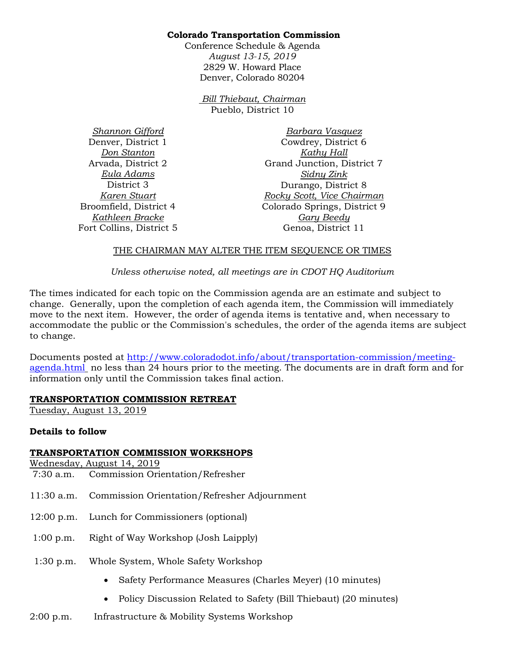### **Colorado Transportation Commission**

Conference Schedule & Agenda *August 13-15, 2019*  2829 W. Howard Place Denver, Colorado 80204

> *Bill Thiebaut, Chairman* Pueblo, District 10

*Shannon Gifford* Denver, District 1 *Don Stanton* Arvada, District 2 *Eula Adams* District 3 *Karen Stuart* Broomfield, District 4 *Kathleen Bracke* Fort Collins, District 5

*Barbara Vasquez* Cowdrey, District 6 *Kathy Hall* Grand Junction, District 7 *Sidny Zink* Durango, District 8 *Rocky Scott, Vice Chairman* Colorado Springs, District 9 *Gary Beedy* Genoa, District 11

### THE CHAIRMAN MAY ALTER THE ITEM SEQUENCE OR TIMES

*Unless otherwise noted, all meetings are in CDOT HQ Auditorium*

The times indicated for each topic on the Commission agenda are an estimate and subject to change. Generally, upon the completion of each agenda item, the Commission will immediately move to the next item. However, the order of agenda items is tentative and, when necessary to accommodate the public or the Commission's schedules, the order of the agenda items are subject to change.

Documents posted at [http://www.coloradodot.info/about/transportation-commission/meeting](http://www.coloradodot.info/about/transportation-commission/meeting-agenda.html)[agenda.html](http://www.coloradodot.info/about/transportation-commission/meeting-agenda.html) no less than 24 hours prior to the meeting. The documents are in draft form and for information only until the Commission takes final action.

## **TRANSPORTATION COMMISSION RETREAT**

Tuesday, August 13, 2019

## **Details to follow**

#### **TRANSPORTATION COMMISSION WORKSHOPS**

Wednesday, August 14, 2019

- 7:30 a.m. Commission Orientation/Refresher
- 11:30 a.m. Commission Orientation/Refresher Adjournment
- 12:00 p.m. Lunch for Commissioners (optional)
- 1:00 p.m. Right of Way Workshop (Josh Laipply)
- 1:30 p.m. Whole System, Whole Safety Workshop
	- Safety Performance Measures (Charles Meyer) (10 minutes)
	- Policy Discussion Related to Safety (Bill Thiebaut) (20 minutes)
- 2:00 p.m. Infrastructure & Mobility Systems Workshop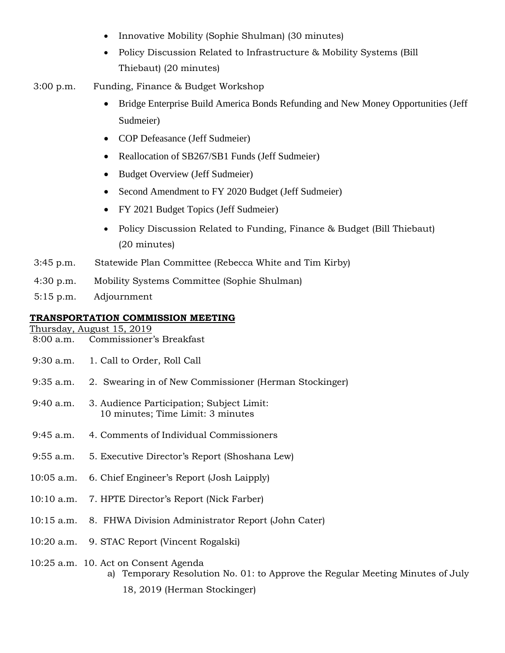- Innovative Mobility (Sophie Shulman) (30 minutes)
- Policy Discussion Related to Infrastructure & Mobility Systems (Bill Thiebaut) (20 minutes)
- 3:00 p.m. Funding, Finance & Budget Workshop
	- Bridge Enterprise Build America Bonds Refunding and New Money Opportunities (Jeff Sudmeier)
	- COP Defeasance (Jeff Sudmeier)
	- Reallocation of SB267/SB1 Funds (Jeff Sudmeier)
	- Budget Overview (Jeff Sudmeier)
	- Second Amendment to FY 2020 Budget (Jeff Sudmeier)
	- FY 2021 Budget Topics (Jeff Sudmeier)
	- Policy Discussion Related to Funding, Finance & Budget (Bill Thiebaut) (20 minutes)
- 3:45 p.m. Statewide Plan Committee (Rebecca White and Tim Kirby)
- 4:30 p.m. Mobility Systems Committee (Sophie Shulman)
- 5:15 p.m. Adjournment

### **TRANSPORTATION COMMISSION MEETING**

Thursday, August 15, 2019

- 8:00 a.m. Commissioner's Breakfast
- 9:30 a.m. 1. Call to Order, Roll Call
- 9:35 a.m. 2. Swearing in of New Commissioner (Herman Stockinger)
- 9:40 a.m. 3. Audience Participation; Subject Limit: 10 minutes; Time Limit: 3 minutes
- 9:45 a.m. 4. Comments of Individual Commissioners
- 9:55 a.m. 5. Executive Director's Report (Shoshana Lew)
- 10:05 a.m. 6. Chief Engineer's Report (Josh Laipply)
- 10:10 a.m. 7. HPTE Director's Report (Nick Farber)
- 10:15 a.m. 8. FHWA Division Administrator Report (John Cater)
- 10:20 a.m. 9. STAC Report (Vincent Rogalski)

#### 10:25 a.m. 10. Act on Consent Agenda

- a) Temporary Resolution No. 01: to Approve the Regular Meeting Minutes of July
	- 18, 2019 (Herman Stockinger)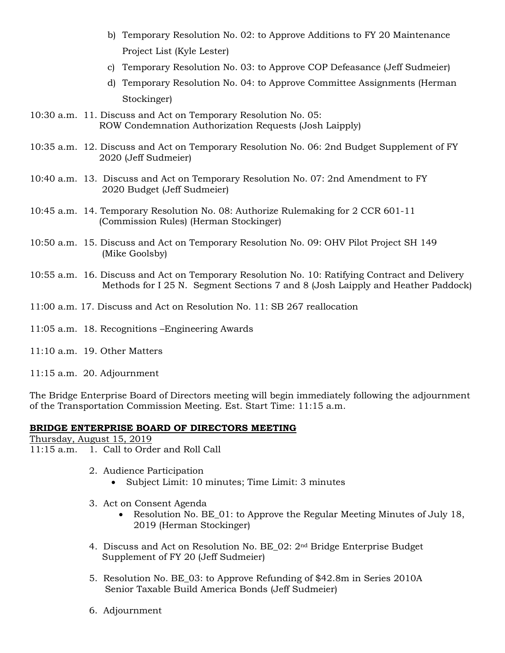- b) Temporary Resolution No. 02: to Approve Additions to FY 20 Maintenance Project List (Kyle Lester)
- c) Temporary Resolution No. 03: to Approve COP Defeasance (Jeff Sudmeier)
- d) Temporary Resolution No. 04: to Approve Committee Assignments (Herman Stockinger)
- 10:30 a.m. 11. Discuss and Act on Temporary Resolution No. 05: ROW Condemnation Authorization Requests (Josh Laipply)
- 10:35 a.m. 12. Discuss and Act on Temporary Resolution No. 06: 2nd Budget Supplement of FY 2020 (Jeff Sudmeier)
- 10:40 a.m. 13. Discuss and Act on Temporary Resolution No. 07: 2nd Amendment to FY 2020 Budget (Jeff Sudmeier)
- 10:45 a.m. 14. Temporary Resolution No. 08: Authorize Rulemaking for 2 CCR 601-11 (Commission Rules) (Herman Stockinger)
- 10:50 a.m. 15. Discuss and Act on Temporary Resolution No. 09: OHV Pilot Project SH 149 (Mike Goolsby)
- 10:55 a.m. 16. Discuss and Act on Temporary Resolution No. 10: Ratifying Contract and Delivery Methods for I 25 N. Segment Sections 7 and 8 (Josh Laipply and Heather Paddock)
- 11:00 a.m. 17. Discuss and Act on Resolution No. 11: SB 267 reallocation
- 11:05 a.m. 18. Recognitions –Engineering Awards
- 11:10 a.m. 19. Other Matters

11:15 a.m. 20. Adjournment

The Bridge Enterprise Board of Directors meeting will begin immediately following the adjournment of the Transportation Commission Meeting. Est. Start Time: 11:15 a.m.

#### **BRIDGE ENTERPRISE BOARD OF DIRECTORS MEETING**

Thursday, August 15, 2019

- 11:15 a.m. 1. Call to Order and Roll Call
	- 2. Audience Participation
		- Subject Limit: 10 minutes; Time Limit: 3 minutes
	- 3. Act on Consent Agenda
		- Resolution No. BE\_01: to Approve the Regular Meeting Minutes of July 18, 2019 (Herman Stockinger)
	- 4. Discuss and Act on Resolution No. BE  $02: 2^{nd}$  Bridge Enterprise Budget Supplement of FY 20 (Jeff Sudmeier)
	- 5. Resolution No. BE\_03: to Approve Refunding of \$42.8m in Series 2010A Senior Taxable Build America Bonds (Jeff Sudmeier)
	- 6. Adjournment